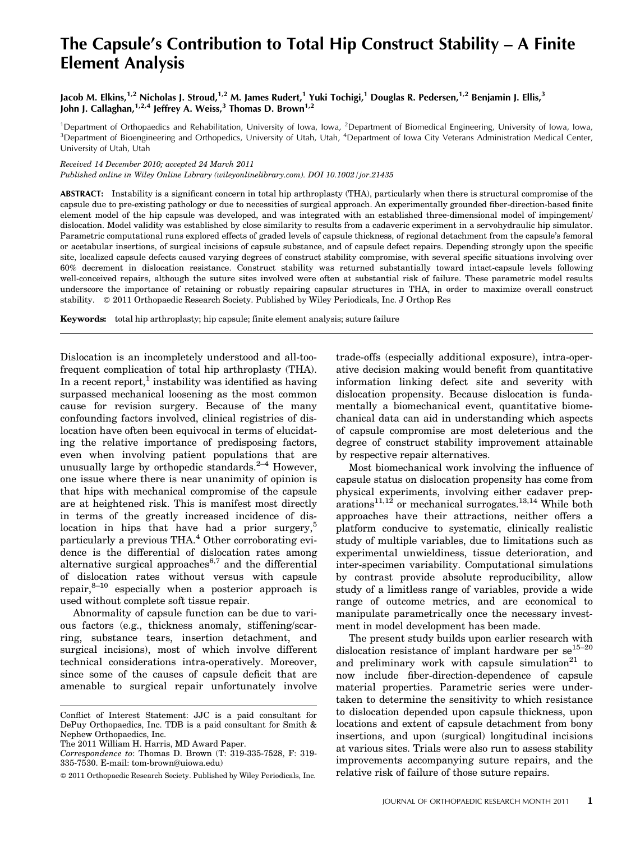# The Capsule's Contribution to Total Hip Construct Stability – A Finite Element Analysis

Jacob M. Elkins,<sup>1,2</sup> Nicholas J. Stroud,<sup>1,2</sup> M. James Rudert,<sup>1</sup> Yuki Tochigi,<sup>1</sup> Douglas R. Pedersen,<sup>1,2</sup> Benjamin J. Ellis,<sup>3</sup> John J. Callaghan,<sup>1,2,4</sup> Jeffrey A. Weiss,<sup>3</sup> Thomas D. Brown<sup>1,2</sup>

<sup>1</sup>Department of Orthopaedics and Rehabilitation, University of Iowa, Iowa, <sup>2</sup>Department of Biomedical Engineering, University of Iowa, Iowa, Iowa, 2008.<br><sup>3</sup>Department of Biognaineering and Orthopodics, University of Uta Department of Bioengineering and Orthopedics, University of Utah, Utah, <sup>4</sup>Department of Iowa City Veterans Administration Medical Center, University of Utah, Utah

Received 14 December 2010; accepted 24 March 2011

Published online in Wiley Online Library (wileyonlinelibrary.com). DOI 10.1002/jor.21435

ABSTRACT: Instability is a significant concern in total hip arthroplasty (THA), particularly when there is structural compromise of the capsule due to pre-existing pathology or due to necessities of surgical approach. An experimentally grounded fiber-direction-based finite element model of the hip capsule was developed, and was integrated with an established three-dimensional model of impingement/ dislocation. Model validity was established by close similarity to results from a cadaveric experiment in a servohydraulic hip simulator. Parametric computational runs explored effects of graded levels of capsule thickness, of regional detachment from the capsule's femoral or acetabular insertions, of surgical incisions of capsule substance, and of capsule defect repairs. Depending strongly upon the specific site, localized capsule defects caused varying degrees of construct stability compromise, with several specific situations involving over 60% decrement in dislocation resistance. Construct stability was returned substantially toward intact-capsule levels following well-conceived repairs, although the suture sites involved were often at substantial risk of failure. These parametric model results underscore the importance of retaining or robustly repairing capsular structures in THA, in order to maximize overall construct stability.  $\circ$  2011 Orthopaedic Research Society. Published by Wiley Periodicals, Inc. J Orthop Res

Keywords: total hip arthroplasty; hip capsule; finite element analysis; suture failure

Dislocation is an incompletely understood and all-toofrequent complication of total hip arthroplasty (THA). In a recent report,<sup>1</sup> instability was identified as having surpassed mechanical loosening as the most common cause for revision surgery. Because of the many confounding factors involved, clinical registries of dislocation have often been equivocal in terms of elucidating the relative importance of predisposing factors, even when involving patient populations that are unusually large by orthopedic standards. $2-4$  However, one issue where there is near unanimity of opinion is that hips with mechanical compromise of the capsule are at heightened risk. This is manifest most directly in terms of the greatly increased incidence of dislocation in hips that have had a prior surgery,<sup>5</sup> particularly a previous THA.<sup>4</sup> Other corroborating evidence is the differential of dislocation rates among alternative surgical approaches<sup>6,7</sup> and the differential of dislocation rates without versus with capsule repair, $8-10$  especially when a posterior approach is used without complete soft tissue repair.

Abnormality of capsule function can be due to various factors (e.g., thickness anomaly, stiffening/scarring, substance tears, insertion detachment, and surgical incisions), most of which involve different technical considerations intra-operatively. Moreover, since some of the causes of capsule deficit that are amenable to surgical repair unfortunately involve

The 2011 William H. Harris, MD Award Paper.

trade-offs (especially additional exposure), intra-operative decision making would benefit from quantitative information linking defect site and severity with dislocation propensity. Because dislocation is fundamentally a biomechanical event, quantitative biomechanical data can aid in understanding which aspects of capsule compromise are most deleterious and the degree of construct stability improvement attainable by respective repair alternatives.

Most biomechanical work involving the influence of capsule status on dislocation propensity has come from physical experiments, involving either cadaver prep $arations<sup>11,12</sup>$  or mechanical surrogates.<sup>13,14</sup> While both approaches have their attractions, neither offers a platform conducive to systematic, clinically realistic study of multiple variables, due to limitations such as experimental unwieldiness, tissue deterioration, and inter-specimen variability. Computational simulations by contrast provide absolute reproducibility, allow study of a limitless range of variables, provide a wide range of outcome metrics, and are economical to manipulate parametrically once the necessary investment in model development has been made.

The present study builds upon earlier research with dislocation resistance of implant hardware per  $se^{15-20}$ and preliminary work with capsule simulation $21$  to now include fiber-direction-dependence of capsule material properties. Parametric series were undertaken to determine the sensitivity to which resistance to dislocation depended upon capsule thickness, upon locations and extent of capsule detachment from bony insertions, and upon (surgical) longitudinal incisions at various sites. Trials were also run to assess stability improvements accompanying suture repairs, and the relative risk of failure of those suture repairs.

Conflict of Interest Statement: JJC is a paid consultant for DePuy Orthopaedics, Inc. TDB is a paid consultant for Smith & Nephew Orthopaedics, Inc.

Correspondence to: Thomas D. Brown  $(T: 319-335-7528, F: 319-$ 335-7530. E-mail: tom-brown@uiowa.edu)

2011 Orthopaedic Research Society. Published by Wiley Periodicals, Inc.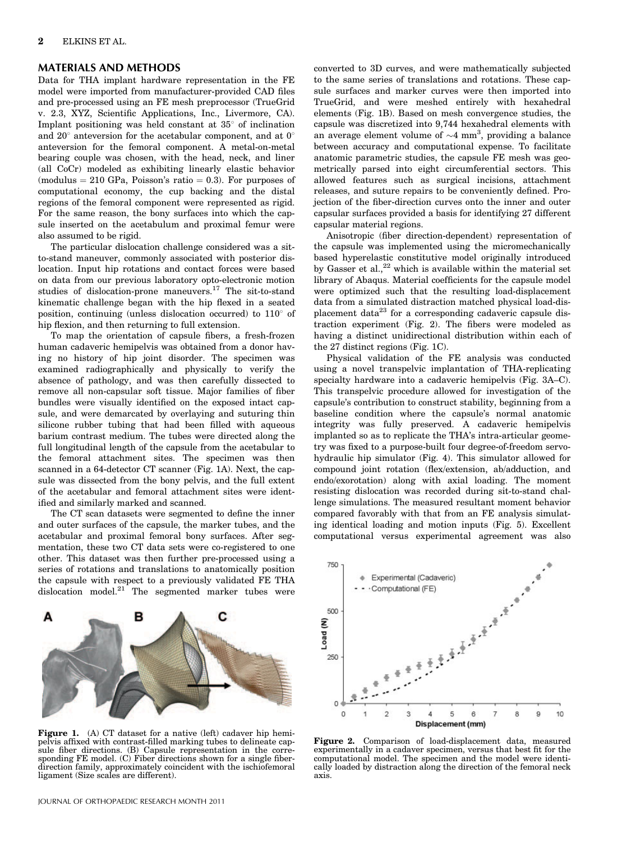#### MATERIALS AND METHODS

Data for THA implant hardware representation in the FE model were imported from manufacturer-provided CAD files and pre-processed using an FE mesh preprocessor (TrueGrid v. 2.3, XYZ, Scientific Applications, Inc., Livermore, CA). Implant positioning was held constant at  $35^{\circ}$  of inclination and  $20^{\circ}$  anteversion for the acetabular component, and at  $0^{\circ}$ anteversion for the femoral component. A metal-on-metal bearing couple was chosen, with the head, neck, and liner (all CoCr) modeled as exhibiting linearly elastic behavior  $(modulus = 210 GPa, Poisson's ratio = 0.3)$ . For purposes of computational economy, the cup backing and the distal regions of the femoral component were represented as rigid. For the same reason, the bony surfaces into which the capsule inserted on the acetabulum and proximal femur were also assumed to be rigid.

The particular dislocation challenge considered was a sitto-stand maneuver, commonly associated with posterior dislocation. Input hip rotations and contact forces were based on data from our previous laboratory opto-electronic motion studies of dislocation-prone maneuvers.<sup>17</sup> The sit-to-stand kinematic challenge began with the hip flexed in a seated position, continuing (unless dislocation occurred) to  $110^{\circ}$  of hip flexion, and then returning to full extension.

To map the orientation of capsule fibers, a fresh-frozen human cadaveric hemipelvis was obtained from a donor having no history of hip joint disorder. The specimen was examined radiographically and physically to verify the absence of pathology, and was then carefully dissected to remove all non-capsular soft tissue. Major families of fiber bundles were visually identified on the exposed intact capsule, and were demarcated by overlaying and suturing thin silicone rubber tubing that had been filled with aqueous barium contrast medium. The tubes were directed along the full longitudinal length of the capsule from the acetabular to the femoral attachment sites. The specimen was then scanned in a 64-detector CT scanner (Fig. 1A). Next, the capsule was dissected from the bony pelvis, and the full extent of the acetabular and femoral attachment sites were identified and similarly marked and scanned.

The CT scan datasets were segmented to define the inner and outer surfaces of the capsule, the marker tubes, and the acetabular and proximal femoral bony surfaces. After segmentation, these two CT data sets were co-registered to one other. This dataset was then further pre-processed using a series of rotations and translations to anatomically position the capsule with respect to a previously validated FE THA dislocation model. $21$  The segmented marker tubes were



Figure 1. (A) CT dataset for a native (left) cadaver hip hemipelvis affixed with contrast-filled marking tubes to delineate capsule fiber directions. (B) Capsule representation in the corresponding FE model. (C) Fiber directions shown for a single fiber-direction family, approximately coincident with the ischiofemoral ligament (Size scales are different).

converted to 3D curves, and were mathematically subjected to the same series of translations and rotations. These capsule surfaces and marker curves were then imported into TrueGrid, and were meshed entirely with hexahedral elements (Fig. 1B). Based on mesh convergence studies, the capsule was discretized into 9,744 hexahedral elements with an average element volume of  $\sim$ 4 mm<sup>3</sup>, providing a balance between accuracy and computational expense. To facilitate anatomic parametric studies, the capsule FE mesh was geometrically parsed into eight circumferential sectors. This allowed features such as surgical incisions, attachment releases, and suture repairs to be conveniently defined. Projection of the fiber-direction curves onto the inner and outer capsular surfaces provided a basis for identifying 27 different capsular material regions.

Anisotropic (fiber direction-dependent) representation of the capsule was implemented using the micromechanically based hyperelastic constitutive model originally introduced by Gasser et al., $^{22}$  which is available within the material set library of Abaqus. Material coefficients for the capsule model were optimized such that the resulting load-displacement data from a simulated distraction matched physical load-displacement data $^{23}$  for a corresponding cadaveric capsule distraction experiment (Fig. 2). The fibers were modeled as having a distinct unidirectional distribution within each of the 27 distinct regions (Fig. 1C).

Physical validation of the FE analysis was conducted using a novel transpelvic implantation of THA-replicating specialty hardware into a cadaveric hemipelvis (Fig. 3A–C). This transpelvic procedure allowed for investigation of the capsule's contribution to construct stability, beginning from a baseline condition where the capsule's normal anatomic integrity was fully preserved. A cadaveric hemipelvis implanted so as to replicate the THA's intra-articular geometry was fixed to a purpose-built four degree-of-freedom servohydraulic hip simulator (Fig. 4). This simulator allowed for compound joint rotation (flex/extension, ab/adduction, and endo/exorotation) along with axial loading. The moment resisting dislocation was recorded during sit-to-stand challenge simulations. The measured resultant moment behavior compared favorably with that from an FE analysis simulating identical loading and motion inputs (Fig. 5). Excellent computational versus experimental agreement was also



Figure 2. Comparison of load-displacement data, measured experimentally in a cadaver specimen, versus that best fit for the computational model. The specimen and the model were identi-cally loaded by distraction along the direction of the femoral neck axis.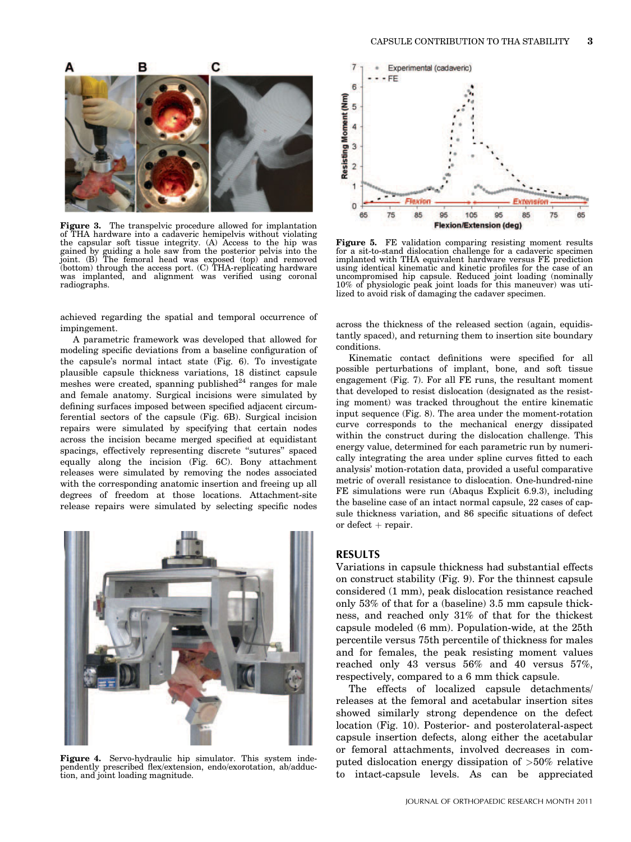

Figure 3. The transpelvic procedure allowed for implantation of THA hardware into a cadaveric hemipelvis without violating the capsular soft tissue integrity. (A) Access to the hip was gained by guiding a hole saw from the posterior pelvis into the joint. (B) The femoral head was exposed (top) and removed (bottom) through the access port. (C) THA-replicating hardware was implanted, and alignment was verified using coronal radiographs.

achieved regarding the spatial and temporal occurrence of impingement.

A parametric framework was developed that allowed for modeling specific deviations from a baseline configuration of the capsule's normal intact state (Fig. 6). To investigate plausible capsule thickness variations, 18 distinct capsule meshes were created, spanning published $^{24}$  ranges for male and female anatomy. Surgical incisions were simulated by defining surfaces imposed between specified adjacent circumferential sectors of the capsule (Fig. 6B). Surgical incision repairs were simulated by specifying that certain nodes across the incision became merged specified at equidistant spacings, effectively representing discrete "sutures" spaced equally along the incision (Fig. 6C). Bony attachment releases were simulated by removing the nodes associated with the corresponding anatomic insertion and freeing up all degrees of freedom at those locations. Attachment-site release repairs were simulated by selecting specific nodes



Figure 4. Servo-hydraulic hip simulator. This system inde-pendently prescribed flex/extension, endo/exorotation, ab/adduction, and joint loading magnitude.



Figure 5. FE validation comparing resisting moment results for a sit-to-stand dislocation challenge for a cadaveric specimen implanted with THA equivalent hardware versus FE prediction using identical kinematic and kinetic profiles for the case of an uncompromised hip capsule. Reduced joint loading (nominally 10% of physiologic peak joint loads for this maneuver) was utilized to avoid risk of damaging the cadaver specimen.

across the thickness of the released section (again, equidistantly spaced), and returning them to insertion site boundary conditions.

Kinematic contact definitions were specified for all possible perturbations of implant, bone, and soft tissue engagement (Fig. 7). For all FE runs, the resultant moment that developed to resist dislocation (designated as the resisting moment) was tracked throughout the entire kinematic input sequence (Fig. 8). The area under the moment-rotation curve corresponds to the mechanical energy dissipated within the construct during the dislocation challenge. This energy value, determined for each parametric run by numerically integrating the area under spline curves fitted to each analysis' motion-rotation data, provided a useful comparative metric of overall resistance to dislocation. One-hundred-nine FE simulations were run (Abaqus Explicit 6.9.3), including the baseline case of an intact normal capsule, 22 cases of capsule thickness variation, and 86 specific situations of defect or defect  $+$  repair.

# RESULTS

Variations in capsule thickness had substantial effects on construct stability (Fig. 9). For the thinnest capsule considered (1 mm), peak dislocation resistance reached only 53% of that for a (baseline) 3.5 mm capsule thickness, and reached only 31% of that for the thickest capsule modeled (6 mm). Population-wide, at the 25th percentile versus 75th percentile of thickness for males and for females, the peak resisting moment values reached only 43 versus 56% and 40 versus 57%, respectively, compared to a 6 mm thick capsule.

The effects of localized capsule detachments/ releases at the femoral and acetabular insertion sites showed similarly strong dependence on the defect location (Fig. 10). Posterior- and posterolateral-aspect capsule insertion defects, along either the acetabular or femoral attachments, involved decreases in computed dislocation energy dissipation of >50% relative to intact-capsule levels. As can be appreciated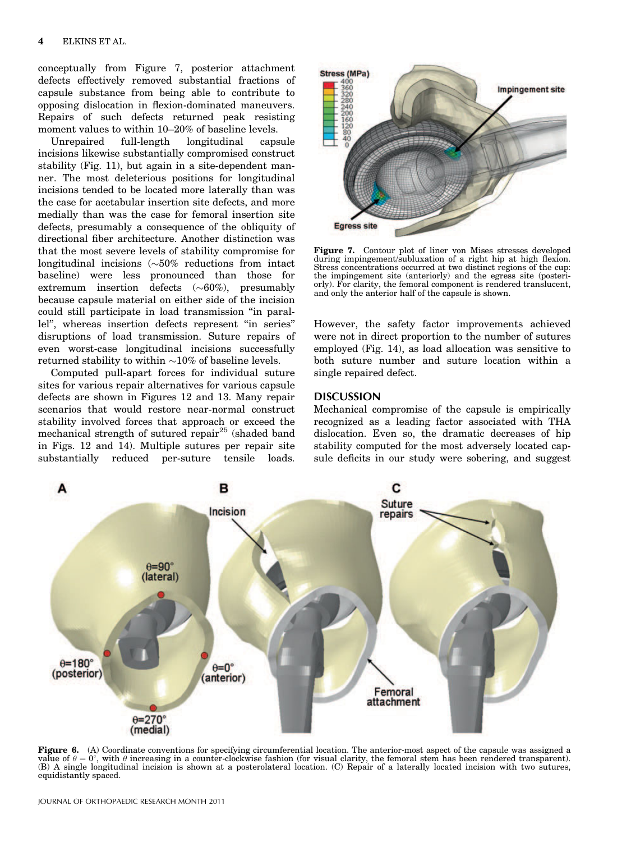conceptually from Figure 7, posterior attachment defects effectively removed substantial fractions of capsule substance from being able to contribute to opposing dislocation in flexion-dominated maneuvers. Repairs of such defects returned peak resisting moment values to within 10–20% of baseline levels.

Unrepaired full-length longitudinal capsule incisions likewise substantially compromised construct stability (Fig. 11), but again in a site-dependent manner. The most deleterious positions for longitudinal incisions tended to be located more laterally than was the case for acetabular insertion site defects, and more medially than was the case for femoral insertion site defects, presumably a consequence of the obliquity of directional fiber architecture. Another distinction was that the most severe levels of stability compromise for longitudinal incisions  $(\sim 50\%$  reductions from intact baseline) were less pronounced than those for extremum insertion defects  $(\sim 60\%)$ , presumably because capsule material on either side of the incision could still participate in load transmission ''in parallel'', whereas insertion defects represent ''in series'' disruptions of load transmission. Suture repairs of even worst-case longitudinal incisions successfully returned stability to within  $\sim 10\%$  of baseline levels.

Computed pull-apart forces for individual suture sites for various repair alternatives for various capsule defects are shown in Figures 12 and 13. Many repair scenarios that would restore near-normal construct stability involved forces that approach or exceed the mechanical strength of sutured repair<sup>25</sup> (shaded band in Figs. 12 and 14). Multiple sutures per repair site substantially reduced per-suture tensile loads.



Figure 7. Contour plot of liner von Mises stresses developed during impingement/subluxation of a right hip at high flexion. Stress concentrations occurred at two distinct regions of the cup: the impingement site (anteriorly) and the egress site (posteriorly). For clarity, the femoral component is rendered translucent, and only the anterior half of the capsule is shown.

However, the safety factor improvements achieved were not in direct proportion to the number of sutures employed (Fig. 14), as load allocation was sensitive to both suture number and suture location within a single repaired defect.

# DISCUSSION

Mechanical compromise of the capsule is empirically recognized as a leading factor associated with THA dislocation. Even so, the dramatic decreases of hip stability computed for the most adversely located capsule deficits in our study were sobering, and suggest



Figure 6. (A) Coordinate conventions for specifying circumferential location. The anterior-most aspect of the capsule was assigned a value of  $\theta = 0^{\circ}$ , with  $\theta$  increasing in a counter-clockwise fashion (for visual clarity, the femoral stem has been rendered transparent). (B) A single longitudinal incision is shown at a posterolateral location. (C) Repair of a laterally located incision with two sutures, equidistantly spaced.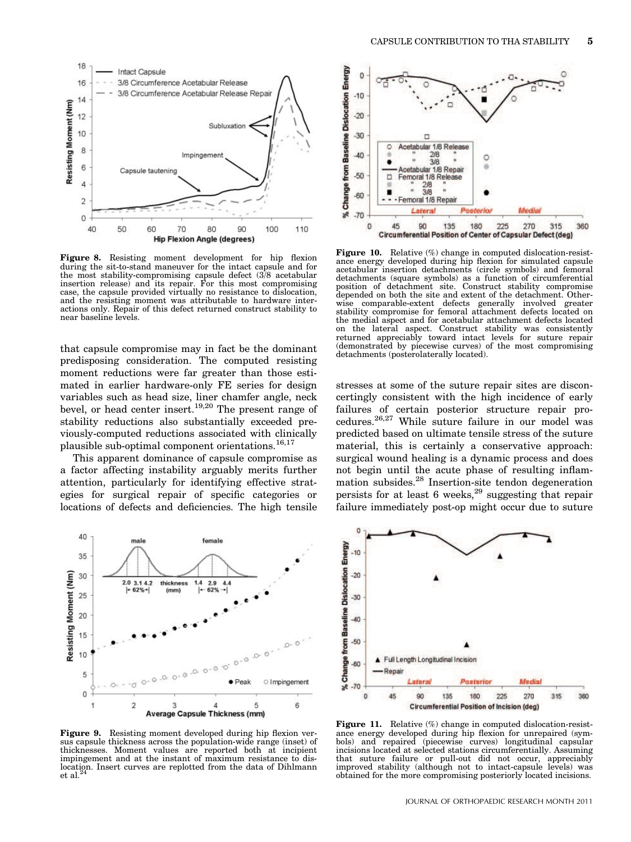

Figure 8. Resisting moment development for hip flexion during the sit-to-stand maneuver for the intact capsule and for the most stability-compromising capsule defect (3/8 acetabular insertion release) and its repair. For this most compromising case, the capsule provided virtually no resistance to dislocation, and the resisting moment was attributable to hardware interactions only. Repair of this defect returned construct stability to near baseline levels.

that capsule compromise may in fact be the dominant predisposing consideration. The computed resisting moment reductions were far greater than those estimated in earlier hardware-only FE series for design variables such as head size, liner chamfer angle, neck bevel, or head center insert.19,20 The present range of stability reductions also substantially exceeded previously-computed reductions associated with clinically plausible sub-optimal component orientations.<sup>16,17</sup>

This apparent dominance of capsule compromise as a factor affecting instability arguably merits further attention, particularly for identifying effective strategies for surgical repair of specific categories or locations of defects and deficiencies. The high tensile



Figure 9. Resisting moment developed during hip flexion versus capsule thickness across the population-wide range (inset) of thicknesses. Moment values are reported both at incipient impingement and at the instant of maximum resistance to dislocation. Insert curves are replotted from the data of Dihlmann et al.<sup>2</sup>



Figure 10. Relative (%) change in computed dislocation-resistance energy developed during hip flexion for simulated capsule acetabular insertion detachments (circle symbols) and femoral detachments (square symbols) as a function of circumferential position of detachment site. Construct stability compromise depended on both the site and extent of the detachment. Otherwise comparable-extent defects generally involved greater stability compromise for femoral attachment defects located on the medial aspect and for acetabular attachment defects located on the lateral aspect. Construct stability was consistently returned appreciably toward intact levels for suture repair (demonstrated by piecewise curves) of the most compromising detachments (posterolaterally located).

stresses at some of the suture repair sites are disconcertingly consistent with the high incidence of early failures of certain posterior structure repair procedures.26,27 While suture failure in our model was predicted based on ultimate tensile stress of the suture material, this is certainly a conservative approach: surgical wound healing is a dynamic process and does not begin until the acute phase of resulting inflammation subsides.28 Insertion-site tendon degeneration persists for at least 6 weeks, $^{29}$  suggesting that repair failure immediately post-op might occur due to suture



Figure 11. Relative (%) change in computed dislocation-resistance energy developed during hip flexion for unrepaired (symbols) and repaired (piecewise curves) longitudinal capsular incisions located at selected stations circumferentially. Assuming that suture failure or pull-out did not occur, appreciably improved stability (although not to intact-capsule levels) was obtained for the more compromising posteriorly located incisions.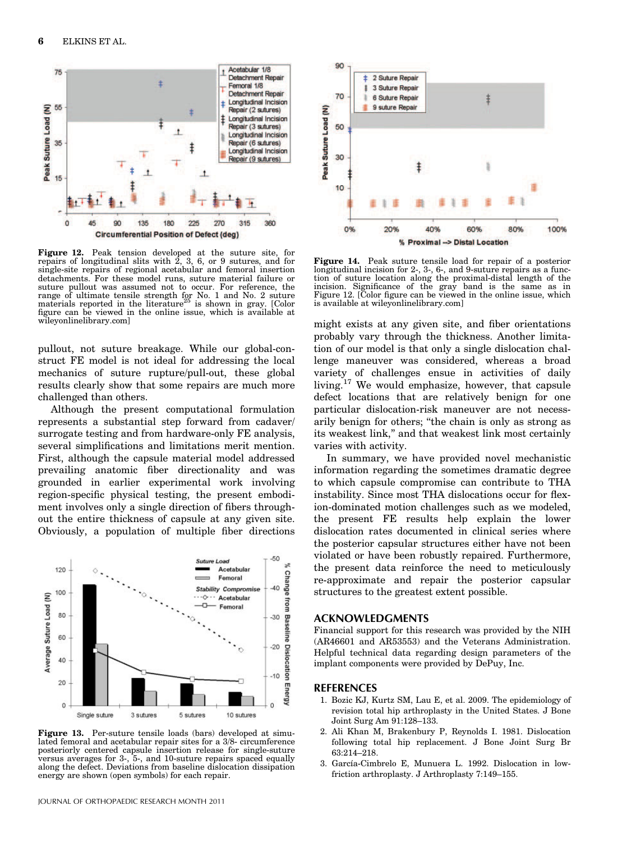

Figure 12. Peak tension developed at the suture site, for repairs of longitudinal slits with 2, 3, 6, or 9 sutures, and for single-site repairs of regional acetabular and femoral insertion detachments. For these model runs, suture material failure or suture pullout was assumed not to occur. For reference, the range of ultimate tensile strength for No. 1 and No. 2 suture materials reported in the literature<sup>25</sup> is shown in gray. [Color figure can be viewed in the online issue, which is available at wileyonlinelibrary.com]

pullout, not suture breakage. While our global-construct FE model is not ideal for addressing the local mechanics of suture rupture/pull-out, these global results clearly show that some repairs are much more challenged than others.

Although the present computational formulation represents a substantial step forward from cadaver/ surrogate testing and from hardware-only FE analysis, several simplifications and limitations merit mention. First, although the capsule material model addressed prevailing anatomic fiber directionality and was grounded in earlier experimental work involving region-specific physical testing, the present embodiment involves only a single direction of fibers throughout the entire thickness of capsule at any given site. Obviously, a population of multiple fiber directions



Figure 13. Per-suture tensile loads (bars) developed at simulated femoral and acetabular repair sites for a 3/8- circumference posteriorly centered capsule insertion release for single-suture versus averages for 3-, 5-, and 10-suture repairs spaced equally along the defect. Deviations from baseline dislocation dissipation energy are shown (open symbols) for each repair.



Figure 14. Peak suture tensile load for repair of a posterior longitudinal incision for 2-, 3-, 6-, and 9-suture repairs as a func-tion of suture location along the proximal-distal length of the incision. Significance of the gray band is the same as in Figure 12. [Color figure can be viewed in the online issue, which is available at wileyonlinelibrary.com]

might exists at any given site, and fiber orientations probably vary through the thickness. Another limitation of our model is that only a single dislocation challenge maneuver was considered, whereas a broad variety of challenges ensue in activities of daily living.<sup>17</sup> We would emphasize, however, that capsule defect locations that are relatively benign for one particular dislocation-risk maneuver are not necessarily benign for others; ''the chain is only as strong as its weakest link,'' and that weakest link most certainly varies with activity.

In summary, we have provided novel mechanistic information regarding the sometimes dramatic degree to which capsule compromise can contribute to THA instability. Since most THA dislocations occur for flexion-dominated motion challenges such as we modeled, the present FE results help explain the lower dislocation rates documented in clinical series where the posterior capsular structures either have not been violated or have been robustly repaired. Furthermore, the present data reinforce the need to meticulously re-approximate and repair the posterior capsular structures to the greatest extent possible.

## ACKNOWLEDGMENTS

Financial support for this research was provided by the NIH (AR46601 and AR53553) and the Veterans Administration. Helpful technical data regarding design parameters of the implant components were provided by DePuy, Inc.

# REFERENCES

- 1. Bozic KJ, Kurtz SM, Lau E, et al. 2009. The epidemiology of revision total hip arthroplasty in the United States. J Bone Joint Surg Am 91:128–133.
- 2. Ali Khan M, Brakenbury P, Reynolds I. 1981. Dislocation following total hip replacement. J Bone Joint Surg Br 63:214–218.
- 3. García-Cimbrelo E, Munuera L. 1992. Dislocation in lowfriction arthroplasty. J Arthroplasty 7:149–155.